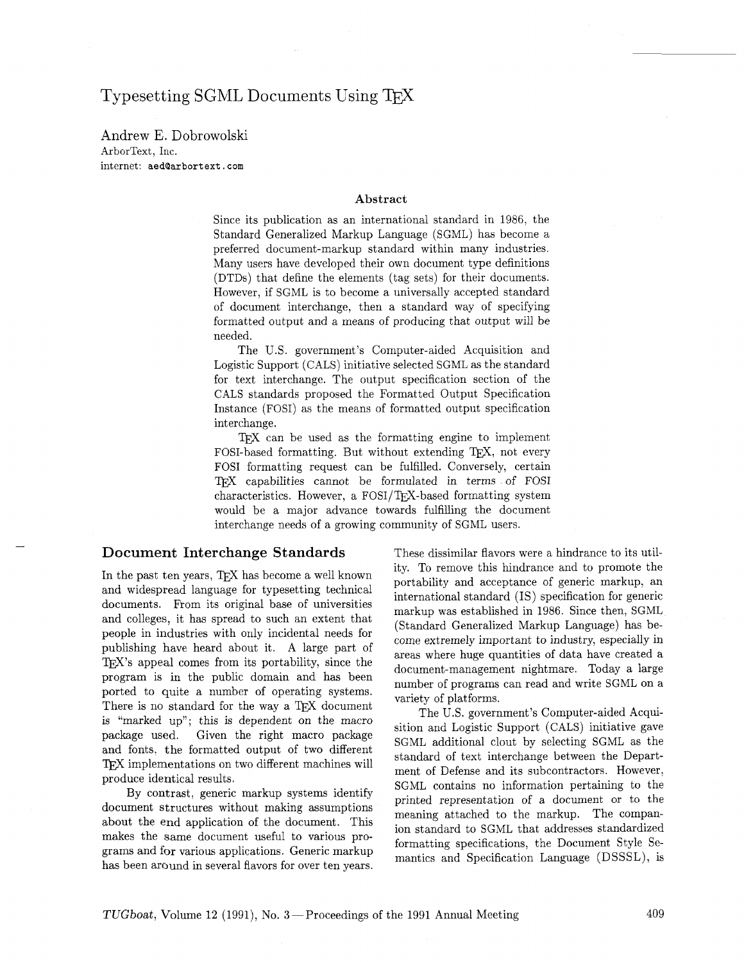# Typesetting SGML Documents Using TFX

Andrew E. Dobrowolski ArborText, Inc. internet: aed@arbortext.com

#### **Abstract**

Since its publication as an international standard in 1986, the Standard Generalized Markup Language (SGML) has become a preferred document-markup standard within many industries. Many users have developed their own document type definitions (DTDs) that define the elements (tag sets) for their documents. However, if SGML is to become a universally accepted standard of document interchange, then a standard way of specifying formatted output and a means of producing that output will be needed.

The U.S. government's Computer-aided Acquisition and Logistic Support (CALS) initiative selected SGML as the standard for text interchange. The output specification section of the CALS standards proposed the Formatted Output Specification Instance (FOSI) as the means of formatted output specification interchange.

T<sub>F</sub>X can be used as the formatting engine to implement FOSI-based formatting. But without extending  $TFX$ , not every FOSI formatting request can be fulfilled. Conversely, certain capabilities cannot be formulated in terms of FOSI characteristics. However, a FOSI/TEX-based formatting system would be a major advance towards fulfilling the document interchange needs of a growing community of SGML users.

#### Document Interchange Standards

In the past ten years, TEX has become a well known and widespread language for typesetting technical documents. From its original base of universities and colleges, it has spread to such an extent that people in industries with only incidental needs for publishing have heard about it. A large part of  $TFX$ 's appeal comes from its portability, since the program is in the public domain and has been ported to quite a number of operating systems. There is no standard for the way a TFX document is "marked up"; this is dependent on the macro package used. Given the right macro package and fonts, the formatted output of two different TFX implementations on two different machines will produce identical results.

By contrast, generic markup systems identify document structures without making assumptions about the end application of the document. This makes the same document useful to various programs and for various applications. Generic markup has been around in several flavors for over ten years.

These dissimilar flavors were a hindrance to its utility. To remove this hindrance and to promote the portability and acceptance of generic markup, an international standard (IS) specification for generic markup was established in 1986. Since then, SGML (Standard Generalized Markup Language) has become extremely important to industry, especially in areas where huge quantities of data have created a document-management nightmare. Today a large number of programs can read and write SGML on a variety of platforms.

The U.S. government's Computer-aided Acquisition and Logistic Support (CALS) initiative gave SGML additional clout by selecting SGML as the standard of text interchange between the Department of Defense and its subcontractors. However, SGML contains no information pertaining to the printed representation of a document or to the meaning attached to the markup. The companion standard to SGML that addresses standardized formatting specifications, the Document Style Semantics and Specification Language (DSSSL), is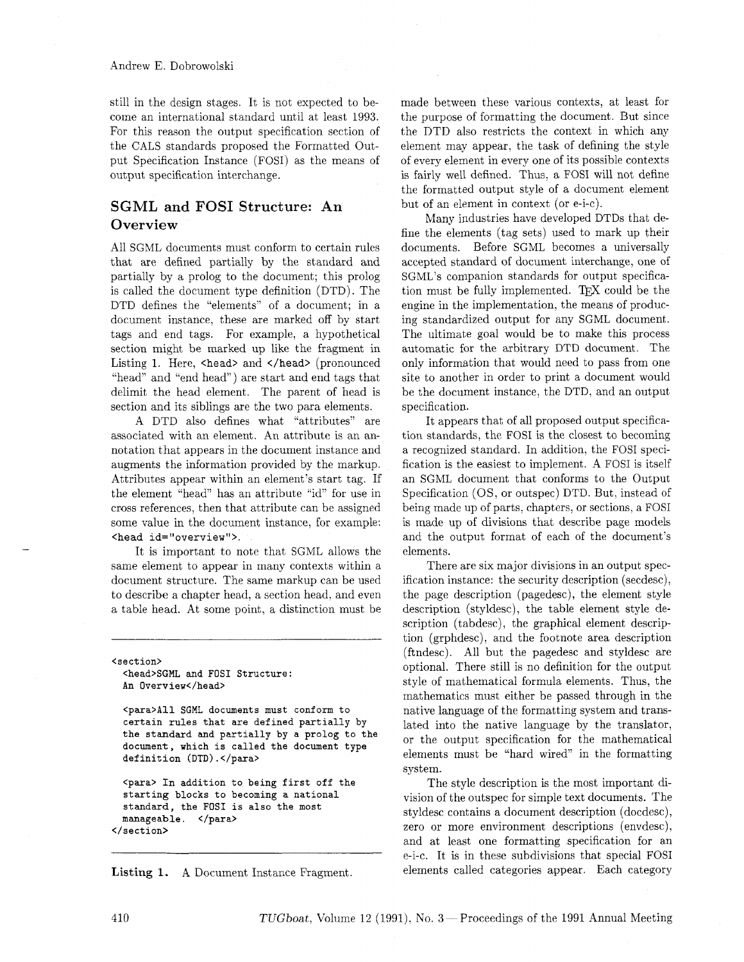Andrew E. Dobrowolski

still in the design stages. It is not expected to become an international standard until at least 1993. For this reason the output specification section of the GALS standards proposed the Formatted Output Specification Instance (FOSI) as the means of output specification interchange.

## SGML and FOSI Structure: An **Overview**

All SGML documents must conform to certain rules that are defined partially by the standard and partially by a prolog to the document; this prolog is called the document type definition (DTD). The DTD defines the "elements" of a document; in a document instance, these are marked off by start tags and end tags. For example. a hypothetical section might be marked up like the fragment in Listing 1. Here, <head> and </head> (pronounced "head" and "end head") are start and end tags that delimit the head element. The parent of head is section and its siblings are the two para elements.

A DTD also defines what "attributes" are associated with an element. An attribute is an annotation that appears in the document instance and augments the information provided by the markup. Attributes appear within an element's start tag. If the element "head" has an attribute "id" for use in cross references, then that attribute can be assigned some value in the document instance, for example: <head id="overview">.

It is important to note that SGML allows the same element to appear in many contexts within a document structure. The same markup can be used to describe a chapter head, a section head. and even a table head. At some point, a distinction must be

<section> <head>SGML and FOSI Structure: An Overview</head>

<para>All SGML documents must conform to certain rules that are defined partially by the standard and partially by a prolog to the document, which is called the document type definition (DTD).</para>

<para> In addition to being first off the starting blocks to becoming a national standard, the FOSI is also the most manageable, </para> </section>

Listing **1.** A Document Instance Fragment.

made between these various contexts, at least for the purpose of formatting the document. But since the DTD also restricts the context in which any element may appear, the task of defining the style of every element in every one of its possible contexts is fairly well defined. Thus, a FOSI will not define the formatted output style of a document element but of an element in context (or e-i-c).

Many industries have developed DTDs that define the elements (tag sets) used to mark up their documents. Before SGML becomes a universally accepted standard of document interchange, one of SGML's companion standards for output specification must be fully implemented. TEX could be the engine in the implementation, the means of producing standardized output for any SGML document. The ultimate goal would be to make this process automatic for the arbitrary DTD document. The only information that would need to pass from one site to another in order to print a document would be the document instance, the DTD, and an output specification.

It appears that of all proposed output specification standards, the FOSI is the closest to becoming a recognized standard. In addition, the FOSI specification is the easiest to implement. A FOSI is itself an SGML document that conforms to the Output Specification (OS, or outspec) DTD. But, instead of being made up of parts, chapters, or sections, a FOSI is made up of divisions that describe page models and the output format of each of the document's elements.

There are six major divisions in an output specification instance: the security description (secdesc). the page description (pagedesc), the element style description (styldesc), the table element style description (tabdesc), the graphical element description (grphdesc), and the footnote area description (ftndesc). All but the pagedesc and styldesc are optional. There still is no definition for the output style of mathematical formula elements. Thus, the mathematics must either be passed through in the native language of the formatting system and translated into the native language by the translator, or the output specification for the mathematical elements must be "hard wired" in the formatting system.

The style description is the most important division of the outspec for simple text documents. The styldesc contains a document description (docdesc), zero or more environment descriptions (envdesc), and at least one formatting specification for an e-i-c. It is in these subdivisions that special FOSI elements called categories appear. Each category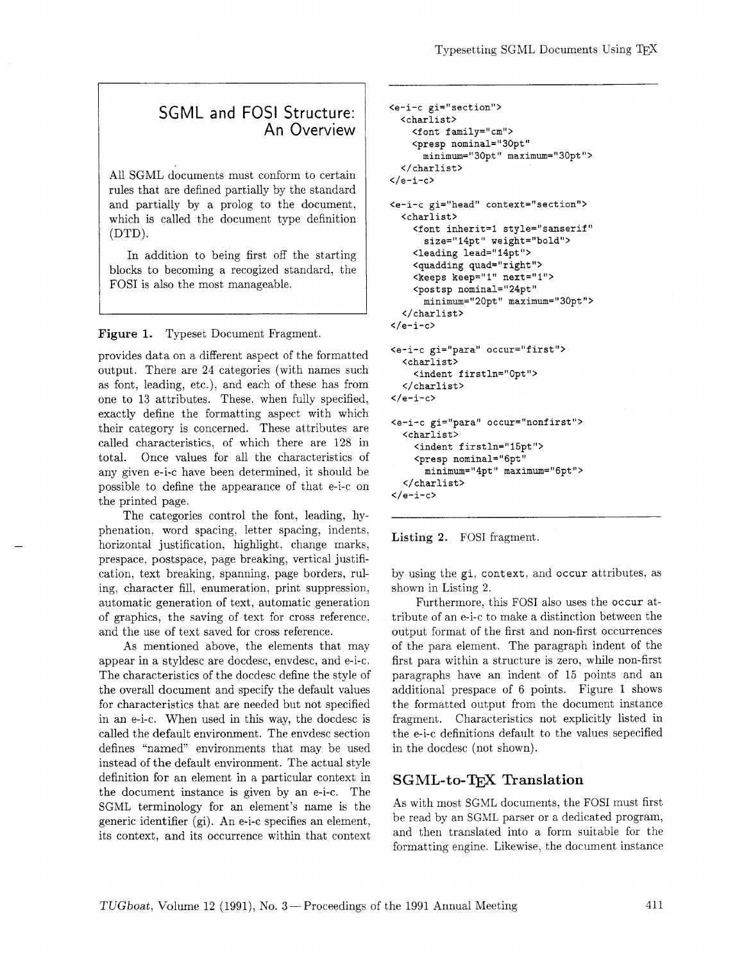## SGML and FOSI Structure: An Overview

All SGML documents must conform to certain rules that are defined partially by the standard and partially by a prolog to the document, which is called the document type definition (DTD).

In addition to being first off the starting blocks to becoming a recogized standard, the FOSI is also the most manageable.

**Figure** 1. Typeset Document Fragment.

provides data on a different aspect of the formatted output. There are 24 categories (with names such as font, leading, etc.), and each of these has from one to 13 attributes. These. when fully specified, exactly define the formatting aspect with which their category is concerned. These attributes are called characteristics, of which there are 128 in total. Once values for all the characteristics of any given e-i-c have been determined, it should be possible to define the appearance of that e-i-c on the printed page.

The categories control the font, leading, hyphenation, word spacing, letter spacing, indents. horizontal justification, highlight. change marks, prespace, postspace, page breaking, vertical justification, text breaking, spanning, page borders, ruling, character fill, enumeration, print suppression. automatic generation of text, automatic generation of graphics, the saving of text for cross reference, and the use of text saved for cross reference.

As mentioned above, the elements that may appear in a styldesc are docdesc, envdesc, and e-i-c. The characteristics of the docdesc define the style of the overall document and specify the default values for characteristics that are needed but not specified in an e-i-c. When used in this way, the docdesc is called the default environment. The envdesc section defines "named" environments that may be used instead of the default environment. The actual style definition for an element in a particular context in the document instance is given by an e-i-c. The SGML terminology for an element's name is the generic identifier (gi). An e-i-c specifies an element, its context, and its occurrence within that context

```
<e-i-c gi="section">
 <charlist>
    <font family="cm">
    <presp nominal="30pt"
      minimum="30pt" maximum="30pt">
  </charlist>
\langle/e-i-c>
<e-i-c gi="head" context="section">
  <charlist>
    <font inherit=1 style="sanserif"
      size="14pt" weight="bold">
    <leading lead="14pt">
    <quadding quad="right">
    <keeps keep="1" next="1">
    <postsp nominal="24pt"
      minimum="20pt" maximum="30pt">
  \langle/charlist>
\langle/e-i-c>
<e-i-c gi="para" occur="first">
  <charlist>
    <indent firstln="0pt">
  </charlist>
</e-i-c>
<e-i-c gi="para" occur="nonfirst">
  <charlist>
    <indent firstln="15pt">
    <presp nominal="6pt"
      minimum="4pt" maximum="6pt">
  </charlist>
\langle/e-i-c>
```


by using the gi. context, and **occur** attributes, as shown in Listing 2.

Furthermore, this FOSI also uses the **occur** attribute of an e-i-c to make a distinction between the output format of the first and non-first occurrences of the para element. The paragraph indent of the first para within a structure is zero, while non-first paragraphs have an indent of 15 points and an additional prespace of 6 points. Figure 1 shows the formatted output from the document instance fragment. Characteristics not explicitly listed in the e-i-c definitions default to the values sepecified in the docdesc (not shown).

### SGML-to-TFX Translation

As with most SGML documents, the FOSI must first be read by an SGML parser or a dedicated program, and then translated into a form suitable for the formatting engine. Likewise, the document instance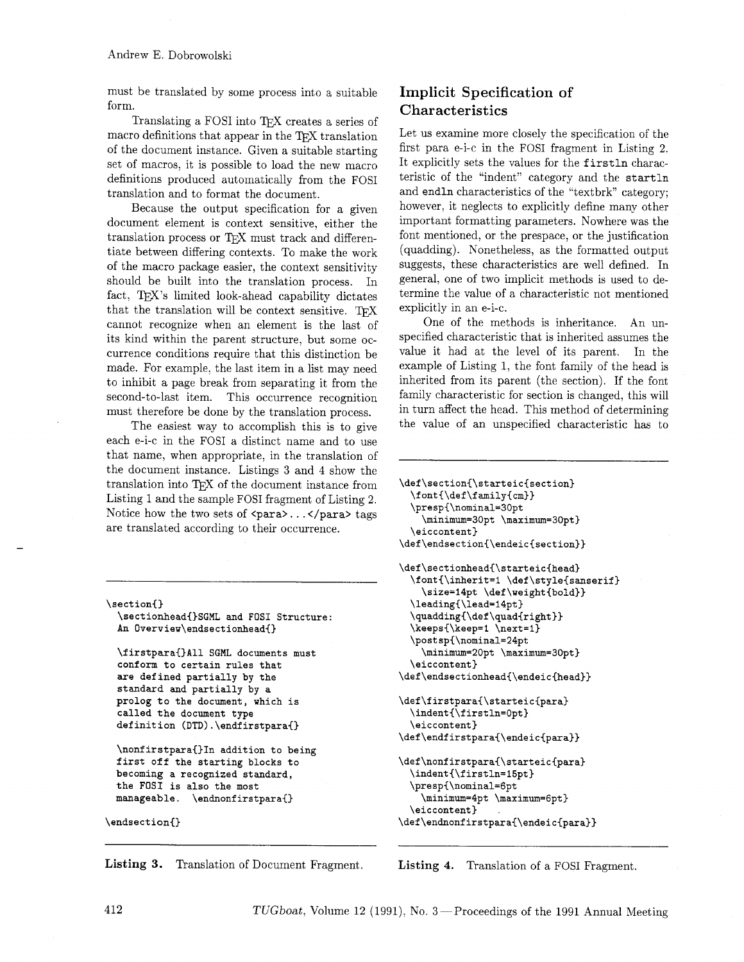must be translated by some process into a suitable form.

Translating a FOSI into TEX creates a series of macro definitions that appear in the TFX translation of the document instance. Given a suitable starting set of macros, it is possible to load the new macro definitions produced automatically from the FOSI translation and to format the document.

Because the output specification for a given document element is context sensitive, either the translation process or 'TEX must track and differentiate between differing contexts. To make the work of the macro package easier, the context sensitivity should be built into the translation process. In fact, T<sub>F</sub>X's limited look-ahead capability dictates that the translation will be context sensitive.  $T_{E}X$ cannot recognize when an element is the last of its kind within the parent structure, but some occurrence conditions require that this distinction be made. For example, the last item in a list may need to inhibit a page break from separating it from the second-to-last item. This occurrence recognition must therefore be done by the translation process.

The easiest way to accomplish this is to give each e-i-c in the FOSI a distinct name and to use that name, when appropriate, in the translation of the document instance. Listings 3 and 4 show the translation into TFJ of the document instance from Listing 1 and the sample FOSI fragment of Listing 2. Notice how the two sets of  $\langle \text{para} \rangle \dots \langle \text{para} \rangle$  tags are translated according to their occurrence.

```
\section{) 
  \sectionhead{)SGML and FOSI Structure : 
  An Overview\endsectionhead{) 
  \firstpara{)All SGML documents must 
  conform to certain rules that 
  are defined partially by the 
  standard and partially by a 
  prolog to the document, which is 
  called the document type 
  definition (DTD) . \endf irstpara{) 
  \nonf irstpara{)In addition to being 
  first off the starting blocks to 
  becoming a recognized standard, 
  the FOSI is also the most 
  manageable. \endnonfirstpara{) 
\endsection{}
```
#### **Listing 3.** Translation of Document Fragment.

## **Implicit Specification of Characteristics**

Let us examine more closely the specification of the first para e-i-c in the FOSI fragment in Listing 2. It explicitly sets the values for the firstln characteristic of the "indent" category and the startln and endln characteristics of the "textbrk" category; however, it neglects to explicitly define many other important formatting parameters. Nowhere was the font mentioned, or the prespace, or the justification (quadding). Nonetheless, as the formatted output suggests, these characteristics are well defined. In general, one of two implicit methods is used to determine the value of a characteristic not mentioned explicitly in an e-i-c.

One of the methods is inheritance. An unspecified characteristic that is inherited assumes the value it had at the level of its parent. In the example of Listing 1, the font family of the head is inherited from its parent (the section). If the font family characteristic for section is changed, this will in turn affect the head. This method of determining the value of an unspecified characteristic has to

```
\def\section{\starteic{section}
  \forall \mathbf{\def}\mathbf{m}\right\}\presp{\nominal=30pt
    \minimum=30pt \maximum=30pt}
  \eiccontent}
\def\endsection{\endeic{section}}
\def\sectionhead{\starteic{head}
  \font{\inherit=1 \def\style{sanserif}
    \size=14pt \def\weight{bold}}
  \leading{\lead=14pt}
  \quadding{\def\quad{right}}
  \keeps{\keep=1 \next=1}
  \postsp{\nominal=24pt
    \minimum=20pt \maximum=30pt}
  \eiccontent}
\verb|\def\endsectionhead|\endieic{head}\}\verb|\def\ifstrapara{\starteic{para}}\indent{\firstln=0pt}
  \eiccontent}
\def\endfirstpara{\endeic{para}}
\def\nonfirstpara{\starteic{para}
  \indent{\firstln=15pt}
  \presp{\nominal=6pt
    \minimum=4pt \maximum=6pt}
  \eiccontent}
```
\def\endnonfirstpara{\endeic{para}}

**Listing 4.** Translation of a FOSI Fragment.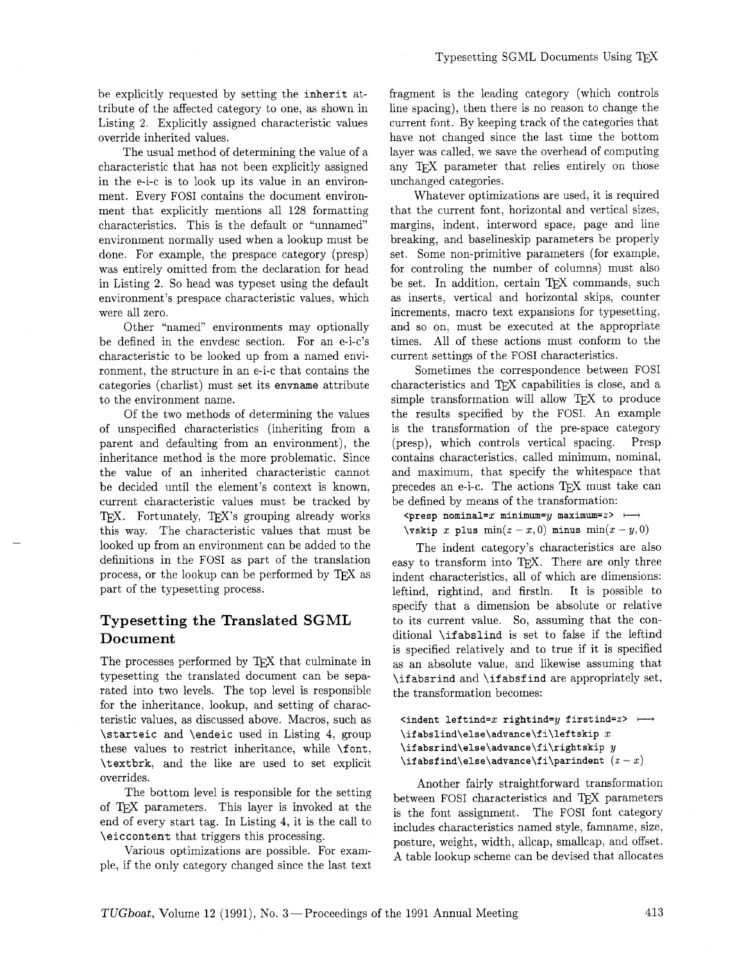be explicitly requested by setting the inherit attribute of the affected category to one, as shown in Listing 2. Explicitly assigned characteristic values override inherited values.

The usual method of determining the value of a characteristic that has not been explicitly assigned in the e-i-c is to look up its value in an environment. Every FOSI contains the document environment that explicitly mentions all 128 formatting characteristics. This is the default or "unnamed" environment normally used when a lookup must be done. For example, the prespace category (presp) was entirely omitted from the declaration for head in Listing 2. So head was typeset using the default environment's prespace characteristic values, which were all zero.

Other "named" environments may optionally be defined in the envdesc section. For an e-i-c's characteristic to be looked up from a named environment, the structure in an e-i-c that contains the categories (charlist) must set its envname attribute to the environment name.

Of the two methods of determining the values of unspecified characteristics (inheriting from a parent and defaulting from an environment), the inheritance method is the more problematic. Since the value of an inherited characteristic cannot be decided until the element's context is known, current characteristic values must be tracked by TEX. Fortunately, TEX's grouping already works this way. The characteristic values that must be looked up from an environment can be added to the definitions in the FOSI as part of the translation process, or the lookup can be performed by TEX as part of the typesetting process.

### **Typesetting the Translated SGML Document**

The processes performed by  $T_{F}X$  that culminate in typesetting the translated document can be separated into two levels. The top level is responsible for the inheritance, lookup, and setting of characteristic values, as discussed above. Macros, such as \starteic and \endeic used in Listing 4, group these values to restrict inheritance, while \font, \textbrk, and the like are used to set explicit overrides.

The bottom level is responsible for the setting of TEX parameters. This layer is invoked at the end of every start tag. In Listing 4, it is the call to **\eiccontent** that triggers this processing.

Various optimizations are possible. For example, if the only category changed since the last text

fragment is the leading category (which controls line spacing), then there is no reason to change the current font. By keeping track of the categories that have not changed since the last time the bottom layer was called, we save the overhead of computing any T<sub>F</sub>X parameter that relies entirely on those unchanged categories.

Whatever optimizations are used, it is required that the current font, horizontal and vertical sizes, margins, indent, interword space, page and line breaking, and baselineskip parameters be properly set. Some non-primitive parameters (for example, for controling the number of columns) must also be set. In addition, certain TFX commands, such as inserts, vertical and horizontal skips, counter increments, macro text expansions for typesetting, and so on, must be executed at the appropriate times. All of these actions must conform to the current settings of the FOSI characteristics.

Sometimes the correspondence between FOSI characteristics and T<sub>F</sub>X capabilities is close, and a simple transformation will allow  $T_{E}X$  to produce the results specified by the FOSI. An example is the transformation of the pre-space category (presp), which controls vertical spacing. Presp contains characteristics, called minimum, nominal, and maximum, that specify the whitespace that precedes an e-i-c. The actions T<sub>F</sub>X must take can be defined by means of the transformation:

 $\langle$ presp nominal=x minimum=y maximum=z>  $+\rightarrow$  $\text{vskip } x \text{ plus } \min(z - x, 0) \text{ minus } \min(x - y, 0)$ 

The indent category's characteristics are also easy to transform into TEX. There are only three indent characteristics, all of which are dimensions: leftind, rightind, and firstln. It is possible to specify that a dimension be absolute or relative to its current value. So, assuming that the conditional \if abslind is set to false if the leftind is specified relatively and to true if it is specified as an absolute value, and likewise assuming that \if absrind and \if absf ind are appropriately set, the transformation becomes:

#### $\lambda$  indent leftind=x rightind=y firstind=z> + **\ifabslind\else\advance\fi\leftskip x \ifabsrind\else\advance\fi\rightskip y**   $\tilde{z} = \frac{z - x}{z - x}$

Another fairly straightforward transformation between FOSI characteristics and T<sub>E</sub>X parameters is the font assignment. The FOSI font category includes characteristics named style, famname, size, posture, weight, width, allcap, smallcap, and offset. A table lookup scheme can be devised that allocates